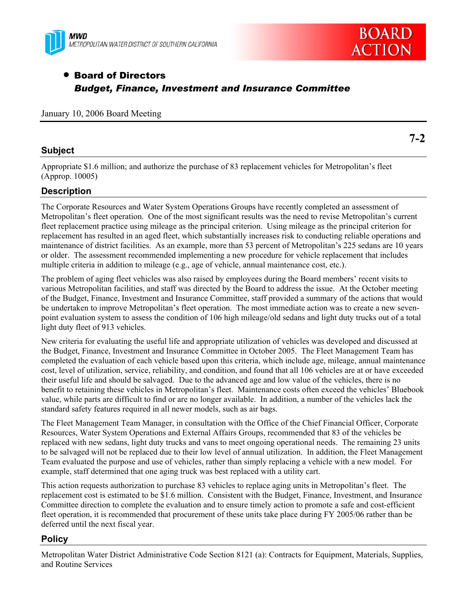



# • Board of Directors *Budget, Finance, Investment and Insurance Committee*

|  |  |  |  | January 10, 2006 Board Meeting |
|--|--|--|--|--------------------------------|
|--|--|--|--|--------------------------------|

## **Subject**

**7-2** 

Appropriate \$1.6 million; and authorize the purchase of 83 replacement vehicles for Metropolitan's fleet (Approp. 10005)

# **Description**

The Corporate Resources and Water System Operations Groups have recently completed an assessment of Metropolitan's fleet operation. One of the most significant results was the need to revise Metropolitan's current fleet replacement practice using mileage as the principal criterion. Using mileage as the principal criterion for replacement has resulted in an aged fleet, which substantially increases risk to conducting reliable operations and maintenance of district facilities. As an example, more than 53 percent of Metropolitan's 225 sedans are 10 years or older. The assessment recommended implementing a new procedure for vehicle replacement that includes multiple criteria in addition to mileage (e.g., age of vehicle, annual maintenance cost, etc.).

The problem of aging fleet vehicles was also raised by employees during the Board members' recent visits to various Metropolitan facilities, and staff was directed by the Board to address the issue. At the October meeting of the Budget, Finance, Investment and Insurance Committee, staff provided a summary of the actions that would be undertaken to improve Metropolitan's fleet operation. The most immediate action was to create a new sevenpoint evaluation system to assess the condition of 106 high mileage/old sedans and light duty trucks out of a total light duty fleet of 913 vehicles.

New criteria for evaluating the useful life and appropriate utilization of vehicles was developed and discussed at the Budget, Finance, Investment and Insurance Committee in October 2005. The Fleet Management Team has completed the evaluation of each vehicle based upon this criteria, which include age, mileage, annual maintenance cost, level of utilization, service, reliability, and condition, and found that all 106 vehicles are at or have exceeded their useful life and should be salvaged. Due to the advanced age and low value of the vehicles, there is no benefit to retaining these vehicles in Metropolitan's fleet. Maintenance costs often exceed the vehicles' Bluebook value, while parts are difficult to find or are no longer available. In addition, a number of the vehicles lack the standard safety features required in all newer models, such as air bags.

The Fleet Management Team Manager, in consultation with the Office of the Chief Financial Officer, Corporate Resources, Water System Operations and External Affairs Groups, recommended that 83 of the vehicles be replaced with new sedans, light duty trucks and vans to meet ongoing operational needs. The remaining 23 units to be salvaged will not be replaced due to their low level of annual utilization. In addition, the Fleet Management Team evaluated the purpose and use of vehicles, rather than simply replacing a vehicle with a new model. For example, staff determined that one aging truck was best replaced with a utility cart.

This action requests authorization to purchase 83 vehicles to replace aging units in Metropolitan's fleet. The replacement cost is estimated to be \$1.6 million. Consistent with the Budget, Finance, Investment, and Insurance Committee direction to complete the evaluation and to ensure timely action to promote a safe and cost-efficient fleet operation, it is recommended that procurement of these units take place during FY 2005/06 rather than be deferred until the next fiscal year.

# **Policy**

Metropolitan Water District Administrative Code Section 8121 (a): Contracts for Equipment, Materials, Supplies, and Routine Services